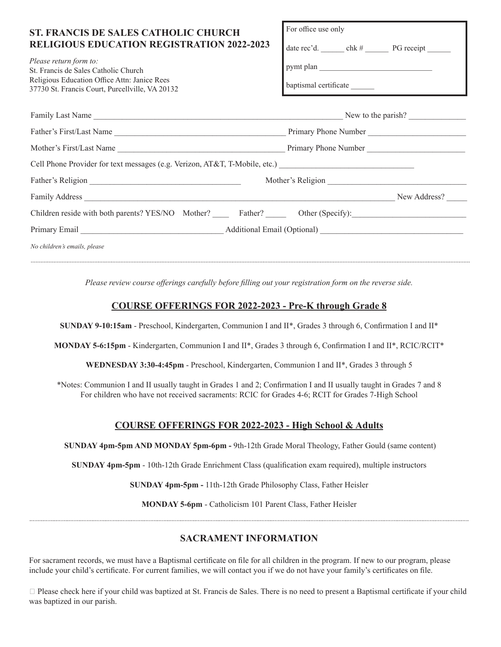| <b>ST. FRANCIS DE SALES CATHOLIC CHURCH</b><br><b>RELIGIOUS EDUCATION REGISTRATION 2022-2023</b><br>Please return form to:<br>St. Francis de Sales Catholic Church<br>Religious Education Office Attn: Janice Rees<br>37730 St. Francis Court, Purcellville, VA 20132 | For office use only<br>pymt plan<br>baptismal certificate |  |  |
|-----------------------------------------------------------------------------------------------------------------------------------------------------------------------------------------------------------------------------------------------------------------------|-----------------------------------------------------------|--|--|
|                                                                                                                                                                                                                                                                       |                                                           |  |  |
|                                                                                                                                                                                                                                                                       |                                                           |  |  |
|                                                                                                                                                                                                                                                                       |                                                           |  |  |
| Cell Phone Provider for text messages (e.g. Verizon, AT&T, T-Mobile, etc.) _________________________                                                                                                                                                                  |                                                           |  |  |
|                                                                                                                                                                                                                                                                       | Mother's Religion                                         |  |  |
|                                                                                                                                                                                                                                                                       | New Address?                                              |  |  |
| Children reside with both parents? YES/NO Mother? ______ Father? ______ Other (Specify): _____________________                                                                                                                                                        |                                                           |  |  |
|                                                                                                                                                                                                                                                                       |                                                           |  |  |
| No children's emails, please                                                                                                                                                                                                                                          |                                                           |  |  |

*Please review course offerings carefully before filling out your registration form on the reverse side.*

### **COURSE OFFERINGS FOR 2022-2023 - Pre-K through Grade 8**

**SUNDAY 9-10:15am** - Preschool, Kindergarten, Communion I and II\*, Grades 3 through 6, Confirmation I and II\*

**MONDAY 5-6:15pm** - Kindergarten, Communion I and II\*, Grades 3 through 6, Confirmation I and II\*, RCIC/RCIT\*

**WEDNESDAY 3:30-4:45pm** - Preschool, Kindergarten, Communion I and II\*, Grades 3 through 5

\*Notes: Communion I and II usually taught in Grades 1 and 2; Confirmation I and II usually taught in Grades 7 and 8 For children who have not received sacraments: RCIC for Grades 4-6; RCIT for Grades 7-High School

#### **COURSE OFFERINGS FOR 2022-2023 - High School & Adults**

 **SUNDAY 4pm-5pm AND MONDAY 5pm-6pm -** 9th-12th Grade Moral Theology, Father Gould (same content)

**SUNDAY 4pm-5pm** - 10th-12th Grade Enrichment Class (qualification exam required), multiple instructors

**SUNDAY 4pm-5pm -** 11th-12th Grade Philosophy Class, Father Heisler

**MONDAY 5-6pm** - Catholicism 101 Parent Class, Father Heisler

## **SACRAMENT INFORMATION**

For sacrament records, we must have a Baptismal certificate on file for all children in the program. If new to our program, please include your child's certificate. For current families, we will contact you if we do not have your family's certificates on file.

 Please check here if your child was baptized at St. Francis de Sales. There is no need to present a Baptismal certificate if your child was baptized in our parish.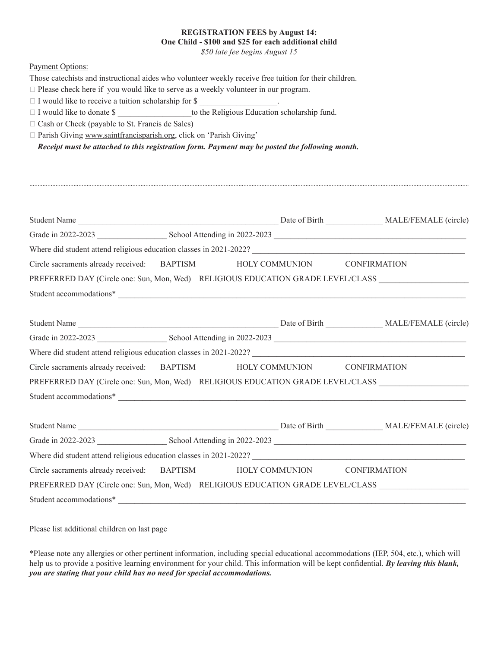#### **REGISTRATION FEES by August 14: One Child - \$100 and \$25 for each additional child**

*\$50 late fee begins August 15*

#### Payment Options:

Those catechists and instructional aides who volunteer weekly receive free tuition for their children.

 $\Box$  Please check here if you would like to serve as a weekly volunteer in our program.

 $\Box$  I would like to receive a tuition scholarship for \$

I would like to donate \$ \_\_\_\_\_\_\_\_\_\_\_\_\_\_\_\_\_\_to the Religious Education scholarship fund.

 $\Box$  Cash or Check (payable to St. Francis de Sales)

Parish Giving www.saintfrancisparish.org, click on 'Parish Giving'

*Receipt must be attached to this registration form. Payment may be posted the following month.*

| Circle sacraments already received: BAPTISM HOLY COMMUNION CONFIRMATION                    |  |
|--------------------------------------------------------------------------------------------|--|
| PREFERRED DAY (Circle one: Sun, Mon, Wed) RELIGIOUS EDUCATION GRADE LEVEL/CLASS            |  |
| Student accommodations*                                                                    |  |
|                                                                                            |  |
|                                                                                            |  |
|                                                                                            |  |
| Circle sacraments already received: BAPTISM HOLY COMMUNION CONFIRMATION                    |  |
| PREFERRED DAY (Circle one: Sun, Mon, Wed) RELIGIOUS EDUCATION GRADE LEVEL/CLASS            |  |
| Student accommodations*                                                                    |  |
|                                                                                            |  |
|                                                                                            |  |
|                                                                                            |  |
| Where did student attend religious education classes in 2021-2022?<br><u>Conserversion</u> |  |
| Circle sacraments already received: BAPTISM HOLY COMMUNION CONFIRMATION                    |  |
| PREFERRED DAY (Circle one: Sun, Mon, Wed) RELIGIOUS EDUCATION GRADE LEVEL/CLASS            |  |
|                                                                                            |  |

Please list additional children on last page

\*Please note any allergies or other pertinent information, including special educational accommodations (IEP, 504, etc.), which will help us to provide a positive learning environment for your child. This information will be kept confidential. *By leaving this blank, you are stating that your child has no need for special accommodations.*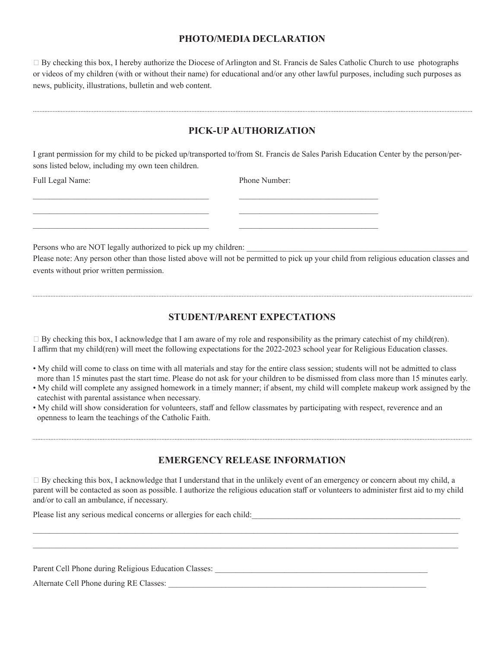## **PHOTO/MEDIA DECLARATION**

 By checking this box, I hereby authorize the Diocese of Arlington and St. Francis de Sales Catholic Church to use photographs or videos of my children (with or without their name) for educational and/or any other lawful purposes, including such purposes as news, publicity, illustrations, bulletin and web content.

# **PICK-UP AUTHORIZATION**

I grant permission for my child to be picked up/transported to/from St. Francis de Sales Parish Education Center by the person/persons listed below, including my own teen children.

 $\_$  ,  $\_$  ,  $\_$  ,  $\_$  ,  $\_$  ,  $\_$  ,  $\_$  ,  $\_$  ,  $\_$  ,  $\_$  ,  $\_$  ,  $\_$  ,  $\_$  ,  $\_$  ,  $\_$  ,  $\_$  ,  $\_$  ,  $\_$  ,  $\_$  ,  $\_$  $\_$  ,  $\_$  ,  $\_$  ,  $\_$  ,  $\_$  ,  $\_$  ,  $\_$  ,  $\_$  ,  $\_$  ,  $\_$  ,  $\_$  ,  $\_$  ,  $\_$  ,  $\_$  ,  $\_$  ,  $\_$  ,  $\_$  ,  $\_$  ,  $\_$  ,  $\_$  $\_$  ,  $\_$  ,  $\_$  ,  $\_$  ,  $\_$  ,  $\_$  ,  $\_$  ,  $\_$  ,  $\_$  ,  $\_$  ,  $\_$  ,  $\_$  ,  $\_$  ,  $\_$  ,  $\_$  ,  $\_$  ,  $\_$  ,  $\_$  ,  $\_$  ,  $\_$ 

Full Legal Name: Phone Number:

Persons who are NOT legally authorized to pick up my children:

Please note: Any person other than those listed above will not be permitted to pick up your child from religious education classes and events without prior written permission.

# **STUDENT/PARENT EXPECTATIONS**

 By checking this box, I acknowledge that I am aware of my role and responsibility as the primary catechist of my child(ren). I affirm that my child(ren) will meet the following expectations for the 2022-2023 school year for Religious Education classes.

- My child will come to class on time with all materials and stay for the entire class session; students will not be admitted to class more than 15 minutes past the start time. Please do not ask for your children to be dismissed from class more than 15 minutes early.
- My child will complete any assigned homework in a timely manner; if absent, my child will complete makeup work assigned by the catechist with parental assistance when necessary.
- My child will show consideration for volunteers, staff and fellow classmates by participating with respect, reverence and an openness to learn the teachings of the Catholic Faith.

## **EMERGENCY RELEASE INFORMATION**

 $\Box$  By checking this box, I acknowledge that I understand that in the unlikely event of an emergency or concern about my child, a parent will be contacted as soon as possible. I authorize the religious education staff or volunteers to administer first aid to my child and/or to call an ambulance, if necessary.

\_\_\_\_\_\_\_\_\_\_\_\_\_\_\_\_\_\_\_\_\_\_\_\_\_\_\_\_\_\_\_\_\_\_\_\_\_\_\_\_\_\_\_\_\_\_\_\_\_\_\_\_\_\_\_\_\_\_\_\_\_\_\_\_\_\_\_\_\_\_\_\_\_\_\_\_\_\_\_\_\_\_\_\_\_\_\_\_\_\_\_\_\_\_\_\_\_\_\_\_\_\_\_\_ \_\_\_\_\_\_\_\_\_\_\_\_\_\_\_\_\_\_\_\_\_\_\_\_\_\_\_\_\_\_\_\_\_\_\_\_\_\_\_\_\_\_\_\_\_\_\_\_\_\_\_\_\_\_\_\_\_\_\_\_\_\_\_\_\_\_\_\_\_\_\_\_\_\_\_\_\_\_\_\_\_\_\_\_\_\_\_\_\_\_\_\_\_\_\_\_\_\_\_\_\_\_\_\_

Please list any serious medical concerns or allergies for each child:

Parent Cell Phone during Religious Education Classes:

Alternate Cell Phone during RE Classes: